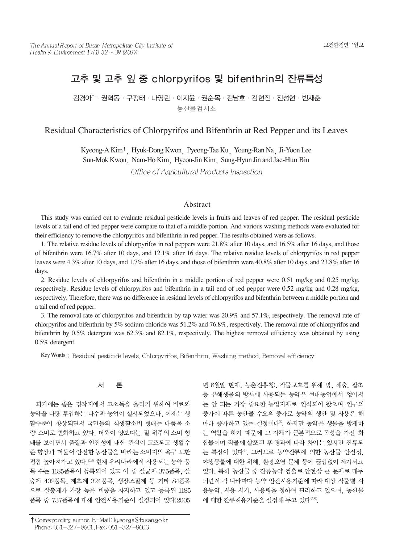# 고추 및 고추 잎 중 chlorpyrifos 및 bifenthrin의 잔류특성

김경아'·권혁동 · 구평태 · 나영란 · 이지유 · 권수목 · 김남호 · 김현진 · 진성현 · 빈재훈 농산물검사소

# Residual Characteristics of Chlorpyrifos and Bifenthrin at Red Pepper and its Leaves

Kyeong-A Kim<sup>†</sup>, Hyuk-Dong Kwon, Pyeong-Tae Ku, Young-Ran Na, Ji-Yoon Lee Sun-Mok Kwon Nam-Ho Kim Hyeon-Jin Kim Sung-Hyun Jin and Jae-Hun Bin Office of Agricultural Products Inspection

### Abstract

This study was carried out to evaluate residual pesticide levels in fruits and leaves of red pepper. The residual pesticide levels of a tail end of red pepper were compare to that of a middle portion. And various washing methods were evaluated for their efficiency to remove the chlorpyrifos and bifenthrin in red pepper. The results obtained were as follows.

1. The relative residue levels of chlorpyrifos in red peppers were 21.8% after 10 days, and 16.5% after 16 days, and those of bifenthrin were 16.7% after 10 days, and 12.1% after 16 days. The relative residue levels of chlorpyrifos in red pepper leaves were 4.3% after 10 days, and 1.7% after 16 days, and those of bifenthrin were 40.8% after 10 days, and 23.8% after 16 days.

2. Residue levels of chlorpyrifos and bifenthrin in a middle portion of red pepper were 0.51 mg/kg and 0.25 mg/kg, respectively. Residue levels of chlorpyrifos and bifenthrin in a tail end of red pepper were 0.52 mg/kg and 0.28 mg/kg, respectively. Therefore, there was no difference in residual levels of chlorpyrifos and bifenthrin between a middle portion and a tail end of red pepper.

3. The removal rate of chlorpyrifos and bifenthrin by tap water was 20.9% and 57.1%, respectively. The removal rate of chlorpyrifos and bifenthrin by 5% sodium chloride was 51.2% and 76.8%, respectively. The removal rate of chlorpyrifos and bifenthrin by 0.5% detergent was 62.3% and 82.1%, respectively. The highest removal efficiency was obtained by using 0.5% detergent.

Key Words: Residual pesticide levels, Chlorpyrifos, Bifenthrin, Washing method, Removal efficiency

#### 서 론

과거에는 좁은 경작지에서 고소득을 올리기 위하여 비료와 농약을 다량 투입하는 다수확 농업이 실시되었으나, 이제는 생 활수준이 향상되면서 국민들의 식생활소비 형태는 다품목 소 량 소비로 변화하고 있다. 더욱이 양보다는 질 위주의 소비 형 태를 보이면서 품질과 안전성에 대한 관심이 고조되고 생활수 준 향상과 더불어 안전한 농산물을 바라는 소비자의 욕구 또한 점점 높아져가고 있다. 132 현재 우리나라에서 사용되는 농약 품 목 수는 1185품목이 등록되어 있고 이 중 살균제 375품목, 살 충제 402품목, 제초제 324품목, 생장조절제 등 기타 84품목 으로 살충제가 가장 높은 비중을 차지하고 있고 등록된 1185 품목 중 737품목에 대해 안전사용기준이 설정되어 있다(2005

등 유해생물의 방제에 사용되는 농약은 현대농업에서 없어서 는 안 되는 가장 중요한 농업자재로 인식되어 왔으며 인구의 증가에 따른 농산물 수요의 증가로 농약의 생산 및 사용은 해 마다 증가하고 있는 실정이다<sup>3)</sup>. 하지만 농약은 생물을 방제하 는 역할을 하기 때문에 그 자체가 근본적으로 독성을 가진 화 합물이며 작물에 살포된 후 경과에 따라 차이는 있지만 잔류되 는 특징이 있다<sup>4)</sup>. 그러므로 농약잔류에 의한 농산물 안전성. 야생동물에 대한 위해, 환경오염 문제 등이 끊임없이 제기되고 있다. 특히 농산물 중 잔류농약 검출로 안전상 큰 문제로 대두 되면서 각 나라마다 농약 안전사용기준에 따라 대상 작물별 사 용농약, 사용 시기, 사용량을 정하여 관리하고 있으며, 농산물 에 대한 잔류허용기준을 설정해 두고 있다<sup>3,6)</sup>.

년 6월말 현재, 농촌진흥청). 작물보호를 위해 병, 해충, 잡초

<sup>†</sup> Corresponding author. E-Mail: kyeonga@busan.go.kr Phone: 051-327-8601, Fax: 051-327-8603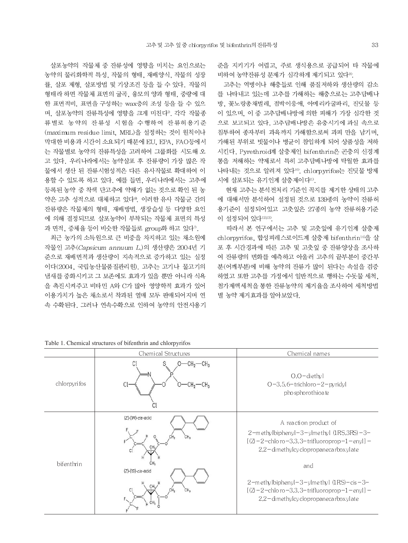살포농약의 작물체 중 잔류성에 영향을 미치는 요인으로는 농약의 물리화학적 특성, 작물의 형태, 재배양식, 작물의 성장 률, 살포 제형, 살포방법 및 기상조건 등을 들 수 있다. 작물의 형태라 하면 작물체 표면의 굴곡, 융모의 양과 형태, 중량에 대 한 표면적비, 표면을 구성하는 wax층의 조성 등을 들 수 있으 며, 살포농약의 잔류특성에 영향을 크게 미친다". 각각 작물종 류별로 농약의 잔류성 시험을 수행하여 잔류허용기준 (maximum residue limit, MRL)을 설정하는 것이 원칙이나 막대한 비용과 시간이 소요되기 때문에 EU, EPA, FAO등에서 는 작물별로 농약의 잔류특성을 고려하여 그룹화를 시도해 오 고 있다. 우리나라에서는 농약살포 후 잔류량이 가장 많은 작 물에서 생산 된 잔류시험성적은 다른 유사작물로 확대하여 이 용할 수 있도록 하고 있다. 예를 들면, 우리나라에서는 고추에 등록된 농약 중 착색 단고추에 약해가 없는 것으로 확인 된 농 약은 고추 성적으로 대체하고 있다<sup>®</sup>. 이러한 유사 작물군 간의 잔류량은 작물체의 형태, 재배방법, 생장습성 등 다양한 요인 에 의해 결정되므로 살포농약이 부착되는 작물체 표면의 특성 과 면적, 증체율 등이 비슷한 작물들로 group화 하고 있다".

최근 농가의 소득원으로 큰 비중을 차지하고 있는 채소원예 작물인 고추(Capsicum annuum L.)의 생산량은 2004년 기 준으로 재배면적과 생산량이 지속적으로 증가하고 있는 실정 이다(2004, 국립농산물품질관리원). 고추는 고기나 물고기의 냄새를 중화시키고 그 보존에도 효과가 있을 뿐만 아니라 식욕 을 촉진시켜주고 비타민 A와 C가 많아 영양학적 효과가 있어 이용가치가 높은 채소로서 착과된 열매 모두 판매되어지며 연 속 수확된다. 그러나 연속수확으로 인하여 농약의 안전사용기 준을 지키기가 어렵고, 주로 생식용으로 공급되어 타 작물에 비하여 농약잔류성 문제가 심각하게 제기되고 있다<sup>9)</sup>.

고추는 역병이나 해충들로 인해 품질저하와 생산량의 감소 를 나타내고 있는데 고추를 가해하는 해충으로는 고추담배나 방, 꽃노랑총채벌레, 점박이응애, 아메리카굴파리, 진딧물 등 이 있으며, 이 중 고추담배나방에 의한 피해가 가장 심각한 것 으로 보고되고 있다. 고추담배나방은 유충시기에 과실 속으로 침투하여 종자부터 과육까지 가해함으로써 과피 만을 남기며. 가해된 부위로 빗물이나 병균이 참입하게 되어 상품성을 저하 시킨다. Pyrethroid계 살충제인 bifenthrin은 곤충의 신경계 통을 저해하는 약제로서 특히 고추담배나방에 탁월한 효과를 나타내는 것으로 알려져 있다<sup>10</sup>. chlorpyrifos는 진딧물 방제 시에 살포되는 유기인계 살충제이다<sup>11)</sup>.

현재 고추는 분석전처리 기준인 꼭지를 제거한 상태의 고추 에 대해서만 분석하여 설정된 것으로 139종의 농약이 잔류히 용기준이 설정되어있고 고춧잎은 27종의 농약 잔류허용기준 이 설정되어 있다12),13).

따라서 본 연구에서는 고추 및 고춧잎에 유기인계 살충제 chlorpyrifos, 합성피레스로이드계 살충제 bifenthrin<sup>14)</sup>을 살 포 후 시간경과에 따른 고추 및 고춧잎 중 잔류양상을 조사하 여 잔류량의 변화를 예측하고 아울러 고추의 끝부분이 중간부 분(어깨부분)에 비해 농약의 잔류가 많이 된다는 속설을 검증 하였고 또한 고추를 가정에서 일반적으로 행하는 수돗물 세척. 첨가제액세척을 통한 잔류농약의 제거율을 조사하여 세척방법 별 농약 제거효과를 알아보았다.

|              | Chemical Structures      | Chemical names                                                                                                                                                                              |  |
|--------------|--------------------------|---------------------------------------------------------------------------------------------------------------------------------------------------------------------------------------------|--|
| chlorpyrifos | CI                       | $O.O$ – diethy l<br>$O-3, 5, 6$ -trichloro $-2$ -pyridyl<br>pho sphorothioa te                                                                                                              |  |
| bifenthrin   | $(Z)$ - $(1R)$ -cis-acid | A reaction product of<br>$2$ –m ethy lbiphenyl – $3$ – ylme thy 1 $(1RS,3RS)$ – $3$ –<br>$[(2 - 2 -$ chlo ro -3,3,3-trifluoroprop-1-enyl] -<br>2,2-dimethylcy clopropaneca rboxylate<br>and |  |
|              | $(Z)$ - $(1S)$ -cis-acid | $2-m$ ethy lbiphenyl - $3$ - ylme thy 1 (1RS) - cis - $3-$<br>$[(2 - 2 -$ chlo ro $-3,3,3$ -trifluoroprop $-1$ -enyl] -<br>$2,2$ – dimethylcy clopropaneca rboxylate                        |  |

Table 1. Chemical structures of bifenthrin and chlorpyrifos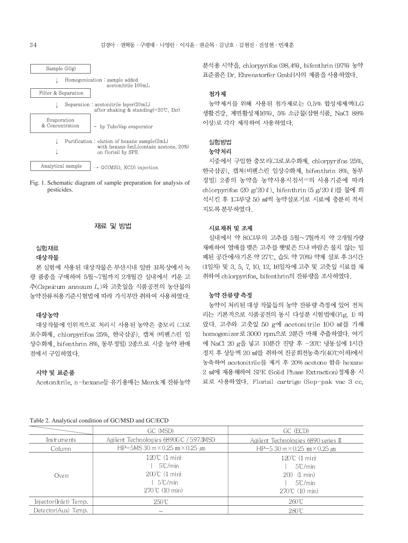

Fig. 1. Schematic diagram of sample preparation for analysis of pesticides.



#### 실험재료

#### 대상작물

본 실험에 사용된 대상작물은 부산시내 일반 묘목상에서 녹 광 품종을 구매하여 5월~7월까지 2개월간 실내에서 키운 고 추(Capsicum annuum L.)와 고춧잎을 식품공전의 농산물의 농약잔류허용기준시험법에 따라 가식부만 취하여 사용하였다.

#### 대상농약

대상작물에 인위적으로 처리시 사용된 농약은 충모리 (그로 포수화제, chlorpyrifos 25%, 한국삼공), 캡쳐 (비펜스린 입 상수화제, bifenthrin 8%, 동부정밀) 2종으로 시중 농약 판매 점에서 구입하였다.

#### 시약 및 표준품

Acetonitrile, n-hexane등 유기용매는 Merck제 잔류농약

# 표준품은 Dr. Ehrenstorfer GmbH사의 제품을 사용하였다. 첨가제

농약제거를 위해 사용된 첨가제로는 0.5% 합성세제액(LG 생활건강, 계면활성제16%), 5% 소금물(삼현식품, NaCl 88% 이상)로 각각 제작하여 사용하였다.

분석용 시약을, chlorpyrifos (98.4%), bifenthrin (97%) 농약

# 실험방법

# 농약처리

시중에서 구입한 충모리(그로포수화제, chlorpyrifos 25%, 한국삼공), 캡쳐 (비펜스린 입상수화제, bifenthrin 8%, 동부 정밀) 2종의 농약을 농약사용시침서14)의 사용기준에 따라 chlorpyrifos (20 g/20 ℓ), bifenthrin (5 g/20 ℓ)를 물에 희 석시킨 후 1그루당 50 ml씩 농약살포기로 시료에 충분히 적셔 지도록 분무하였다.

#### 시료채취 및 조제

실내에서 약 80그루의 고추를 5월~7월까지 약 2개월가량 재배하여 열매를 맺은 고추를 햇빛은 드나 바람은 불지 않는 밀 폐된 공간에서(기온 약 27℃, 습도 약 70%) 약제 살포 후 3시간 (1일차) 및 3, 5, 7, 10, 12, 16일차에 고추 및 고춧잎 시료를 채 취하여 chlorpyrifos, bifenthrin의 잔류량을 조사하였다.

### 농약 잔류량 측정

농약이 처리된 대상 작물들의 농약 잔류량 측정에 있어 전처 리는 기본적으로 식품공전의 동시 다성분 시험법에(Fig. 1) 따 랐다. 고추와 고춧잎 50 g에 acetonitrile 100 ml를 가해 homogenizer로 3000 rpm으로 2분간 마쇄 추출하였다. 여기 에 NaCl 20 g을 넣고 10분간 진탕 후 -20℃ 냉동실에 1시간 정치 후 상등액 20 ml를 취하여 진공회전농축기(40℃이하)에서 농축하여 acetonitrile를 제거 후 20% acetone 함유 hexane 2 ml에 재용해하여 SPE (Solid Phase Extraction)정제용 시 료로 사용하였다. Florisil cartrige (Sep-pak vac 3 cc,

### Table 2. Analytical condition of GC/MSD and GC/ECD

|                                                      | GC (MSD)                                                                                                             | GC (ECD)                                                                                  |
|------------------------------------------------------|----------------------------------------------------------------------------------------------------------------------|-------------------------------------------------------------------------------------------|
| Agilent Technologies 6890GC / 5973MSD<br>Instruments |                                                                                                                      | Agilent Technologies 6890 series II                                                       |
| Column                                               | HP-5MS 30 m $\times$ 0.25 mm $\times$ 0.25 $\mu$ m                                                                   | HP-5 30 m $\times$ 0.25 mm $\times$ 0.25 $\mu$ m                                          |
| Oven                                                 | $120\degree$ (1 min)<br>$5^{\circ}$ C/min<br>$200^{\circ}$ (1 min)<br>$5^{\circ}$ C/min<br>$270 \text{ °C}$ (10 min) | 120℃ (1 min)<br>$5^{\circ}$ C/min<br>200(1 min)<br>$5^{\circ}$ C/min<br>$270$ °C (10 min) |
| Injector(Inlet) Temp.                                | 250℃                                                                                                                 | $260^\circ$ C                                                                             |
| Detector(Aux) Temp.                                  |                                                                                                                      | $280^{\circ}$ C                                                                           |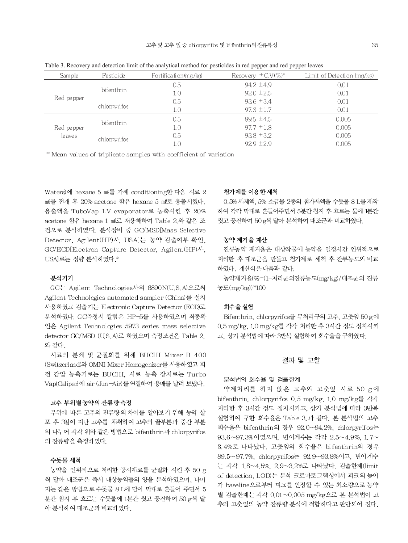| Sample                | Pesticide    | Fortification $(mg/kg)$ | Recovery $\pm$ C.V(%)* | Limit of Detection (mg/kg) |
|-----------------------|--------------|-------------------------|------------------------|----------------------------|
| Red pepper            | bifenthrin   | 0.5                     | $94.2 \pm 4.9$         | 0.01                       |
|                       |              | 1.0                     | $92.0 \pm 2.5$         | 0.01                       |
|                       | chlorpyrifos | 0.5                     | $93.6 \pm 3.4$         | 0.01                       |
|                       |              | 1.0                     | $97.3 \pm 1.7$         | 0.01                       |
| Red pepper<br>le aves | bifenthrin   | 0.5                     | $89.5 \pm 4.5$         | 0.005                      |
|                       |              | 1.0                     | $97.7 \pm 1.8$         | 0.005                      |
|                       | chlorpyrifos | 0.5                     | $93.8 \pm 3.2$         | 0.005                      |
|                       |              | 1.0                     | $92.9 \pm 2.9$         | 0.005                      |

Table 3. Recovery and detection limit of the analytical method for pesticides in red pepper and red pepper leaves

\* Mean values of triplicate samples with coefficient of variation

Waters)에 hexane 5 ml를 가해 conditioning한 다음 시료 2 ml를 전개 후 20% acetone 함유 hexane 5 ml로 용출시켰다. 용출액을 TuboVap LV evaporator로 농축시킨 후 20% acetone 함유 hexane 1 ml로 재용해하여 Table 2 와 같은 조 건으로 분석하였다. 분석장비 중 GC/MSD[Mass Selective Detector, Agilent(HP)사, USA]는 농약 검출여부 확인, GC/ECD[Electron Capture Detector, Agilent(HP)사, USA]로는 정량 분석하였다.<sup>®</sup>

### 분석기기

GC는 Agilent Technologies사의 6890N(U.S.A)으로써 Agilent Technologies automated sampler (China)를 설치 사용하였고 검출기는 Electronic Capture Detector (ECD)로 분석하였다. GC측정시 칼럼은 HP-5를 사용하였으며 최종확 인은 Agilent Technologies 5973 series mass selective detector GC/MSD (U.S.A)로 하였으며 측정조건은 Table 2. 와 같다.

시료의 분쇄 및 균질화를 위해 BUCHI Mixer B-400 (Switzerland)와 OMNI Mixer Homogenizer를 사용하였고 회 전 감압 농축기로는 BUCHI, 시료 농축 장치로는 Turbo Vap(Caliper)에 air (Jun-Air)를 연결하여 용매를 날려 보냈다.

### 고추 부위별 농약의 잔류량 측정

부위에 따른 고추의 잔류량의 차이를 알아보기 위해 농약 살 포 후 3일이 지난 고추를 채취하여 고추의 끝부분과 중간 부분 의 나누어 각각 위와 같은 방법으로 bifenthrin과 chlorpyrifos 의 잔류량을 측정하였다.

### 수돗물 세척

농약을 인위적으로 처리한 공시재료를 균질화 시킨 후 50 g 씩 달아 대조군은 즉시 대상농약들의 양을 분석하였으며, 나머 지는 같은 방법으로 수돗물 8 L에 담아 막대로 흔들어 주면서 5 분간 침지 후 흐르는 수돗물에 1분간 씻고 풍건하여 50 g씩 달 아 분석하여 대조군과 비교하였다.

#### 첨가제를 이용한 세척

0.5% 세제액, 5% 소금물 2종의 첨가제액을 수돗물 8 L를 제작 하여 각각 막대로 흔들어주면서 5분간 침지 후 흐르는 물에 1분간 씻고 풍건하여 50 g씩 달아 분석하여 대조군과 비교하였다.

#### 농약 제거율 계산

잔류농약 제거율은 대상작물에 농약을 일정시간 인위적으로 처리한 후 대조군을 만들고 첨가제로 세척 후 잔류농도와 비교 하였다. 계산식은 다음과 같다.

농약제거율(%) = (1-처리군의잔류농도(mg/kg)/대조군의 잔류 농도(mg/kg))\*100

### 회수율 실험

Bifenthrin, chlorpyrifos를 무처리구의 고추, 고춧잎 50g에 0.5 mg/kg, 10 mg/kg를 각각 처리한 후 3시간 정도 정치시키 고, 상기 분석법에 따라 3반복 실험하여 회수율을 구하였다.

#### 결과 및 고찰

## 분석법의 회수율 및 검출한계

약제처리를 하지 않은 고추와 고춧잎 시료 50 g에 bifenthrin, chlorpyrifos 0.5 mg/kg, 1.0 mg/kg를 각각 처리한 후 3시간 정도 정치시키고, 상기 분석법에 따라 3반복 실험하여 구한 회수율은 Table 3 과 같다. 본 분석법의 고추 회수율은 bifenthrin의 경우 92.0~94.2%, chlorpyrifos는 93.6~97.3%이였으며, 변이계수는 각각 2.5~4.9%, 1.7~ 3.4%로 나타났다. 고춧잎의 회수율은 bifenthrin의 경우 89.5~97.7%, chlorpyrifos는 92.9~93.8%이고, 변이계수 는 각각 1.8~4.5%, 2.9~3.2%로 나타났다. 검출한계(limit of detection, LOD)는 분석 크로마토그램상에서 피크의 높이 가 baseline으로부터 피크를 인정할 수 있는 최소량으로 농약 별 검출한계는 각각 0.01~0.005 mg/kg으로 본 분석법이 고 추와 고춧잎의 농약 잔류량 분석에 적합하다고 판단되어 진다.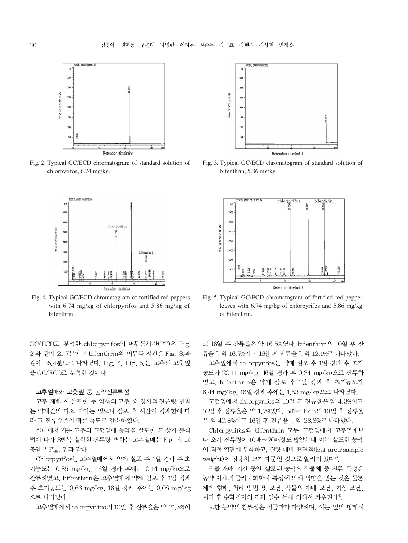

Fig. 2. Typical GC/ECD chromatogram of standard solution of chlorpyrifos, 6.74 mg/kg.



Fig. 4. Typical GC/ECD chromatogram of fortified red peppers with 6.74 mg/kg of chlorpyrifos and 5.86 mg/kg of bifenthrin.

GC/ECD로 분석한 chlorpyrifos의 머무름시간(RT)은 Fig. 2.와 같이 21.7분이고 bifenthrin의 머무름 시간은 Fig. 3.과 같이 35.4분으로 나타났다. Fig. 4. Fig. 5.는 고추와 고춧잎 을 GC/ECD로 분석한 것이다.

#### 고추열매와 고춧잎 중 농약잔류특성

고추 재배 시 살포한 두 약제의 고추 중 경시적 잔류량 변화 는 약제간의 다소 차이는 있으나 살포 후 시간이 경과함에 따 라 그 잔류수준이 빠른 속도로 감소하였다.

실내에서 키운 고추와 고춧잎에 농약을 살포한 후 상기 분석 법에 따라 3반복 실험한 잔류량 변화는 고추열매는 Fig. 6. 고 춧잎은 Fig. 7.과 같다.

Chlorpyrifos는 고추열매에서 약제 살포 후 1일 경과 후 초 기농도는 0.85 mg/kg, 16일 경과 후에는 0.14 mg/kg으로 잔류하였고, bifenthrin은 고추열매에 약제 살포 후 1일 경과 후 초기농도는 0.66 mg/kg, 16일 경과 후에는 0.08 mg/kg 으로 나타났다.

고추열매에서 chlorpyrifos의 10일 후 잔류율은 약 21.8%이



Fig. 3. Typical GC/ECD chromatogram of standard solution of bifenthrin, 5.86 mg/kg.



Fig. 5. Typical GC/ECD chromatogram of fortified red pepper leaves with 6.74 mg/kg of chlorpyrifos and 5.86 mg/kg of bifenthrin.

고 16일 후 잔류율은 약 16.5%였다. bifenthrin의 10일 후 잔 류율은 약 16.7%이고 16일 후 잔류율은 약 12.1%로 나타났다.

고추잎에서 chlorpyrifos는 약제 살포 후 1일 경과 후 초기 농도가 20.11 mg/kg, 16일 경과 후 0.34 mg/kg으로 잔류하 였고, bifenthrin은 약제 살포 후 1일 경과 후 초기농도가 6.44 mg/kg, 16일 경과 후에는 1.53 mg/kg으로 나타났다.

고춧잎에서 chlorpyrifos의 10일 후 잔류율은 약 4.3%이고 16일 후 잔류율은 약 1.7%였다. bifenthrin의 10일 후 잔류율 은 약 40.8%이고 16일 후 잔류율은 약 23.8%로 나타났다.

Chlorpyrifos와 bifenthrin 모두 고춧잎에서 고추열매보 다 초기 잔류량이 10배~20배정도 많았는데 이는 살포한 농약 이 직접 엽면에 부착하고, 질량 대비 표면적(leaf area/sample weight)이 상당히 크기 때문인 것으로 알려져 있다<sup>9)</sup>.

작물 재배 기간 동안 살포된 농약의 작물체 중 잔류 특성은 농약 자체의 물리 · 화학적 특성에 의해 영향을 받는 것은 물론 제제 형태, 처리 방법 및 조건, 작물의 재배 조건, 기상 조건, 처리 후 수확까지의 경과 일수 등에 의해서 좌우된다<sup>4)</sup>.

또한 농약의 침투성은 식물마다 다양하며, 이는 잎의 형태적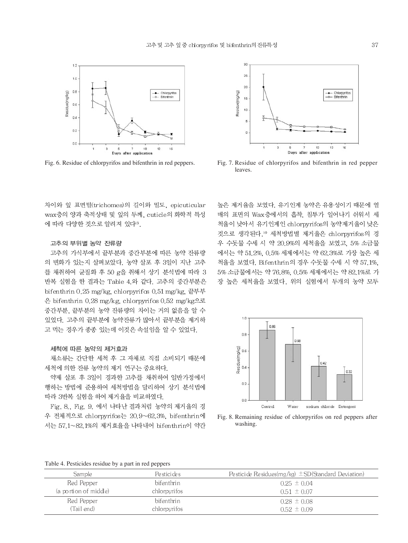



#### 고추의 부위별 농약 잔류량

고추의 가식부에서 끝부분과 중간부분에 따른 농약 잔류량 의 변화가 있는지 살펴보았다. 농약 살포 후 3일이 지난 고추 를 채취하여 균질화 후 50 g을 취해서 상기 분석법에 따라 3 반복 실험을 한 결과는 Table 4.와 같다. 고추의 중간부분은 bifenthrin 0.25 mg/kg, chlorpyrifos 0.51 mg/kg, 끝부부 은 bifenthrin 0.28 mg/kg, chlorpyrifos 0.52 mg/kg으로 중간부분, 끝부분의 농약 잔류량의 차이는 거의 없음을 알 수 있었다. 고추의 끝부분에 농약잔류가 많아서 끝부분을 제거하 고 먹는 경우가 종종 있는데 이것은 속설임을 알 수 있었다.

#### 세척에 따른 농약의 제거효과

채소류는 간단한 세척 후 그 자체로 직접 소비되기 때문에 세척에 의한 잔류 농약의 제거 연구는 중요하다.

약제 살포 후 3일이 경과한 고추를 채취하여 일반가정에서 행하는 방법에 준용하여 세척방법을 달리하여 상기 분석법에 따라 3반복 실험을 하여 제거율을 비교하였다.

Fig. 8., Fig. 9. 에서 나타난 결과처럼 농약의 제거율의 경 우 전체적으로 chlorpyrifos는 20.9~62.3%, bifenthrin에 서는 57.1~82.1%의 제거효율을 나타내어 bifenthrin이 약간



Fig. 6. Residue of chlorpyrifos and bifenthrin in red peppers. Fig. 7. Residue of chlorpyrifos and bifenthrin in red pepper leaves.

높은 제거율을 보였다. 유기인계 농약은 유용성이기 때문에 열 매의 표면의 Wax층에서의 흡착, 침투가 일어나기 쉬워서 세 척율이 낮아서 유기인계인 chlorpyrifos의 농약제거율이 낮은 것으로 생각된다.10 세척방법별 제거율은 chlorpyrifos의 경 우 수돗물 수세 시 약 20.9%의 세척율을 보였고, 5% 소금물 에서는 약 51.2%, 0.5% 세제에서는 약 62.3%로 가장 높은 세 척율을 보였다. Bifenthrin의 경우 수돗물 수세 시 약 57.1%. 5% 소금물에서는 약 76.8%, 0.5% 세제에서는 약 82.1%로 가 장 높은 세척율을 보였다. 위의 실험에서 두개의 농약 모두



Fig. 8. Remaining residue of chlorpyrifos on red peppers after washing.

Table 4. Pesticides residue by a part in red peppers

| <b>Sample</b>         | Pestici des  | Pesticide Residues(mg/kg) $\pm$ SD(Standard Deviation) |
|-----------------------|--------------|--------------------------------------------------------|
| Red Pepper            | bifenthrin   | $0.25 \pm 0.04$                                        |
| (a portion of middle) | chlorpyrifos | $0.51 \pm 0.07$                                        |
| Red Pepper            | bifenthrin   | $0.28 \pm 0.08$                                        |
| (Tail end).           | chlorpyrifos | $0.52 \pm 0.09$                                        |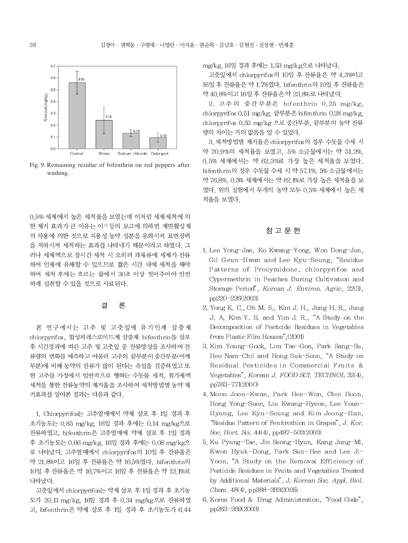

Fig. 9. Remaining residue of bifenthrin on red peppers after washing.

0.5% 세제에서 높은 세척율을 보였는데 이처럼 세제세척에 의 한 제거 효과가 큰 이유는 이17 등의 보고에 의하면 계면활성제 의 작용에 의한 것으로 지용성 농약 성분을 유화시켜 표면장력 을 저하시켜 세척하는 효과를 나타내기 때문이라고 하였다. 그 러나 세제액으로 장시간 세척 시 오히려 과채류에 세제가 잔류 하여 인체에 유해할 수 있으므로 짧은 시간 내에 세척을 해야 하며 세척 후에는 흐르는 물에서 30초 이상 씻어주어야 안전 하게 섭취할 수 있을 것으로 사료된다.

#### 결 론

본 연구에서는 고추 및 고춧잎에 유기인계 살충제 chlorpyrifos, 합성피레스로이드계 살충제 bifenthrin을 살포 후 시간경과에 따른 고추 및 고춧잎 중 잔류양상을 조사하여 잔 류량의 변화를 예측하고 아울러 고추의 끝부분이 중간부분(어깨 부분)에 비해 농약의 잔류가 많이 된다는 속설을 검증하였고 또 한 고추를 가정에서 일반적으로 행하는 수돗물 세척, 첨가제액 세척을 통한 잔류농약의 제거율을 조사하여 세척방법별 농약 제 거효과를 알아본 결과는 다음과 같다.

1. Chlorpyrifos는 고추열매에서 약제 살포 후 1일 경과 후 초기농도는 0.85 mg/kg, 16일 경과 후에는 0.14 mg/kg으로 잔류하였고, bifenthrin은 고추열매에 약제 살포 후 1일 경과 후 초기농도는 0.66 mg/kg, 16일 경과 후에는 0.08 mg/kg으 로 나타났다. 고추열매에서 chlorpyrifos의 10일 후 잔류율은 약 21.8%이고 16일 후 잔류율은 약 16.5%였다. bifenthnn의 10일 후 잔류율은 약 16.7%이고 16일 후 잔류율은 약 12.1%로 나타났다.

고춧잎에서 chlorpyrifos는 약제 살포 후 1일 경과 후 초기농 도가 20.11 mg/kg, 16일 경과 후 0.34 mg/kg으로 잔류하였 고, bifenthrin은 약제 살포 후 1일 경과 후 초기농도가 6.44 mg/kg, 16일 경과 후에는 1.53 mg/kg으로 나타났다.

고춧잎에서 chlorpyrifos의 10일 후 잔류율은 약 4.3%이고 16일 후 잔류율은 약 1.7%였다. bifenthrin의 10일 후 잔류율은 약 40.8%이고 16일 후 잔류율은 약 23.8%로 나타났다.

2. 고추의 중간부분은 bifenthrin 0.25 mg/kg, chlorpyrifos 0.51 mg/kg, 끝부분은 bifenthrin 0.28 mg/kg, chlorpyrifos 0.52 mg/kg 으로 중간부분, 끝부분의 농약 잔류 량의 차이는 거의 없음을 알 수 있었다.

3. 세척방법별 제거율은 chlorpyrif os의 경우 수돗물 수세 시 약 20.9%의 세척율을 보였고, 5% 소금물에서는 약 51.2%, 0.5% 세제에서는 약 62.3%로 가장 높은 세척율을 보였다. bifenthrin의 경우 수돗물 수세 시 약 57.1%, 5% 소금물에서는 약 76.8%, 0.5% 세제에서는 약 82.1%로 가장 높은 세척율을 보 였다. 위의 실험에서 두개의 농약 모두 0.5% 세제에서 높은 세 척율을 보였다.

# 참 고 문 헌

- 1. Lee Yong-Jae, Ko Kwang-Yong, Won Dong-Jun, Gil Geun-Hwan and Lee Kyu-Seung, "Residue Patterns of Procymidone, chlorpyrifos and Cypermethrin in Peaches During Cultivation and Storage Period", Korean J. Environ, Agric, 22(3), pp220-226(2003)
- 2. Yong K. C., Oh M. S., Kim J. H., Jung H. R., Jung J. A, Kim Y. S. and Yim J. R., "A Study on the Decomposition of Pesticide Residues in Vegetables from Plastic Film Houses", (2001)
- 3. Kim Young-Gook, Lim Tae-Gon, Park Sang-Su, Heo Nam-Chil and Hong Suk-Soon, "A Study on Residual Pesticides in Commercial Fruits & Vegetables", Korean J. FOOD SCI. TECHNOL 32(4), pp763-771(2000)
- 4. Moon Joon-Kwan, Park Hee-Won, Choi Hoon, Hong Yong-Soon, Liu Kwang-Hyeon, Lee Youn-Hyung, Lee Kyu-Seung and Kim Jeong-Han, "Residue Pattern of Fenitrothion in Grapes", J. Kor. Soc. Hort. Sci. 44(4), pp497-502(2003)
- 5. Ku Pyung-Tae, Jin Seong-Hyun, Kang Jung-Mi, Kwon Hyuk-Dong, Park Sun-Hee and Lee Ji-Yoon, "A Study on the Removal Efficiency of Pesticide Residues in Fruits and Vegetables Treated by Additional Materials", J. Korean Soc. Appl. Biol. Chem. 48(4), pp388-393(2005)
- 6. Korea Food & Drug Administration, "Food Code", pp263-269(2003)